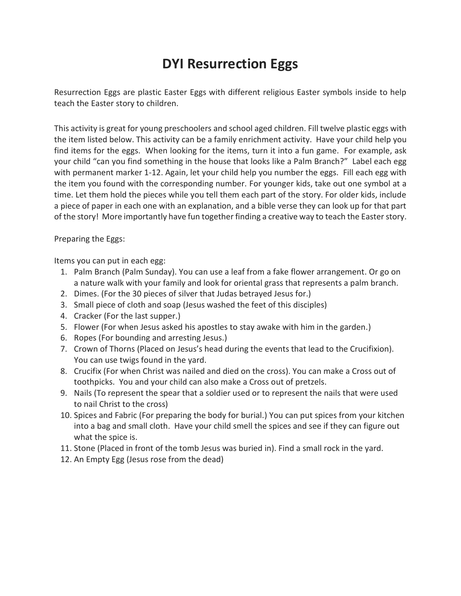# **DYI Resurrection Eggs**

Resurrection Eggs are plastic Easter Eggs with different religious Easter symbols inside to help teach the Easter story to children.

This activity is great for young preschoolers and school aged children. Fill twelve plastic eggs with the item listed below. This activity can be a family enrichment activity. Have your child help you find items for the eggs. When looking for the items, turn it into a fun game. For example, ask your child "can you find something in the house that looks like a Palm Branch?" Label each egg with permanent marker 1-12. Again, let your child help you number the eggs. Fill each egg with the item you found with the corresponding number. For younger kids, take out one symbol at a time. Let them hold the pieces while you tell them each part of the story. For older kids, include a piece of paper in each one with an explanation, and a bible verse they can look up for that part of the story! More importantly have fun together finding a creative way to teach the Easter story.

Preparing the Eggs:

Items you can put in each egg:

- 1. Palm Branch (Palm Sunday). You can use a leaf from a fake flower arrangement. Or go on a nature walk with your family and look for oriental grass that represents a palm branch.
- 2. Dimes. (For the 30 pieces of silver that Judas betrayed Jesus for.)
- 3. Small piece of cloth and soap (Jesus washed the feet of this disciples)
- 4. Cracker (For the last supper.)
- 5. Flower (For when Jesus asked his apostles to stay awake with him in the garden.)
- 6. Ropes (For bounding and arresting Jesus.)
- 7. Crown of Thorns (Placed on Jesus's head during the events that lead to the Crucifixion). You can use twigs found in the yard.
- 8. Crucifix (For when Christ was nailed and died on the cross). You can make a Cross out of toothpicks. You and your child can also make a Cross out of pretzels.
- 9. Nails (To represent the spear that a soldier used or to represent the nails that were used to nail Christ to the cross)
- 10. Spices and Fabric (For preparing the body for burial.) You can put spices from your kitchen into a bag and small cloth. Have your child smell the spices and see if they can figure out what the spice is.
- 11. Stone (Placed in front of the tomb Jesus was buried in). Find a small rock in the yard.
- 12. An Empty Egg (Jesus rose from the dead)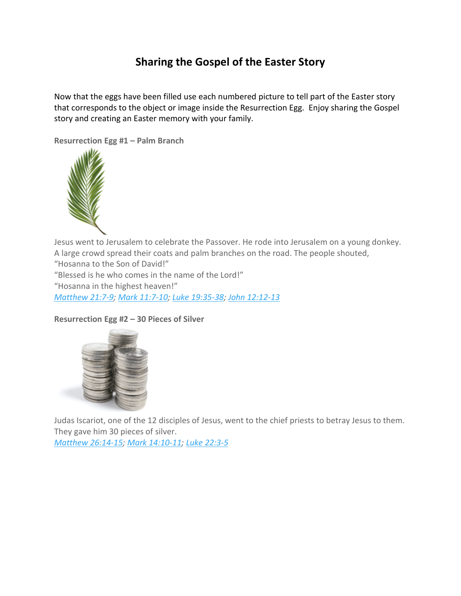# **Sharing the Gospel of the Easter Story**

Now that the eggs have been filled use each numbered picture to tell part of the Easter story that corresponds to the object or image inside the Resurrection Egg. Enjoy sharing the Gospel story and creating an Easter memory with your family.

**Resurrection Egg #1 – Palm Branch**



Jesus went to Jerusalem to celebrate the Passover. He rode into Jerusalem on a young donkey. A large crowd spread their coats and palm branches on the road. The people shouted,

"Hosanna to the Son of David!"

"Blessed is he who comes in the name of the Lord!"

"Hosanna in the highest heaven!"

*[Matthew](https://biblia.com/bible/esv/Matt%2021.7-9) 21:7-9; Mark [11:7-10;](https://biblia.com/bible/esv/Mark%2011.7-10) Luke [19:35-38;](https://biblia.com/bible/esv/Luke%2019.35-38) John [12:12-13](https://biblia.com/bible/esv/John%2012.12-13)*

# **Resurrection Egg #2 – 30 Pieces of Silver**



Judas Iscariot, one of the 12 disciples of Jesus, went to the chief priests to betray Jesus to them. They gave him 30 pieces of silver.

*Matthew [26:14-15;](https://biblia.com/bible/esv/Matt%2026.14-15) Mark [14:10-11;](https://biblia.com/bible/esv/Mark%2014.10-11) Luke [22:3-5](https://biblia.com/bible/esv/Luke%2022.3-5)*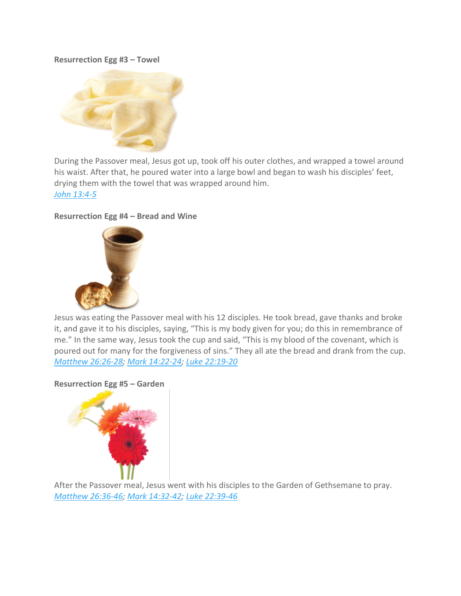#### **Resurrection Egg #3 – Towel**



During the Passover meal, Jesus got up, took off his outer clothes, and wrapped a towel around his waist. After that, he poured water into a large bowl and began to wash his disciples' feet, drying them with the towel that was wrapped around him. *John [13:4-5](https://biblia.com/bible/esv/John%2013.4-5)*

## **Resurrection Egg #4 – Bread and Wine**



Jesus was eating the Passover meal with his 12 disciples. He took bread, gave thanks and broke it, and gave it to his disciples, saying, "This is my body given for you; do this in remembrance of me." In the same way, Jesus took the cup and said, "This is my blood of the covenant, which is poured out for many for the forgiveness of sins." They all ate the bread and drank from the cup. *Matthew [26:26-28;](https://biblia.com/bible/esv/Matt%2026.26-28) Mark [14:22-24;](https://biblia.com/bible/esv/Mark%2014.22-24) Luke [22:19-20](https://biblia.com/bible/esv/Luke%2022.19-20)*

#### **Resurrection Egg #5 – Garden**



After the Passover meal, Jesus went with his disciples to the Garden of Gethsemane to pray. *Matthew [26:36-46;](https://biblia.com/bible/esv/Matt%2026.36-46) Mark [14:32-42;](https://biblia.com/bible/esv/Mark%2014.32-42) Luke [22:39-46](https://biblia.com/bible/esv/Luke%2022.39-46)*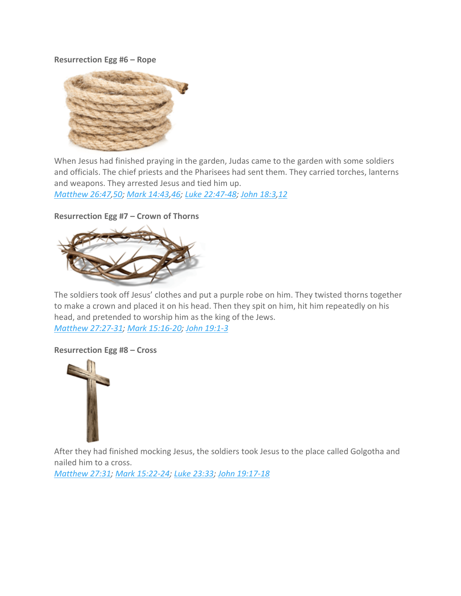#### **Resurrection Egg #6 – Rope**



When Jesus had finished praying in the garden, Judas came to the garden with some soldiers and officials. The chief priests and the Pharisees had sent them. They carried torches, lanterns and weapons. They arrested Jesus and tied him up.

*[Matthew](https://biblia.com/bible/esv/Matt%2026.47) 26:47[,50;](https://biblia.com/bible/esv/Matthew%2026.50) Mark [14:43](https://biblia.com/bible/esv/Mark%2014.43)[,46;](https://biblia.com/bible/esv/Mark%2014.46) Luke [22:47-48;](https://biblia.com/bible/esv/Luke%2022.47-48) John [18:3](https://biblia.com/bible/esv/John%2018.3)[,12](https://biblia.com/bible/esv/John%2018.12)*

#### **Resurrection Egg #7 – Crown of Thorns**



The soldiers took off Jesus' clothes and put a purple robe on him. They twisted thorns together to make a crown and placed it on his head. Then they spit on him, hit him repeatedly on his head, and pretended to worship him as the king of the Jews. *Matthew [27:27-31;](https://biblia.com/bible/esv/Matt%2027.27-31) Mark [15:16-20;](https://biblia.com/bible/esv/Mark%2015.16-20) John [19:1-3](https://biblia.com/bible/esv/John%2019.1-3)*

#### **Resurrection Egg #8 – Cross**



After they had finished mocking Jesus, the soldiers took Jesus to the place called Golgotha and nailed him to a cross.

*[Matthew](https://biblia.com/bible/esv/Matt%2027.31) 27:31; Mark [15:22-24;](https://biblia.com/bible/esv/Mark%2015.22-24) Luke [23:33;](https://biblia.com/bible/esv/Luke%2023.33) John [19:17-18](https://biblia.com/bible/esv/John%2019.17-18)*